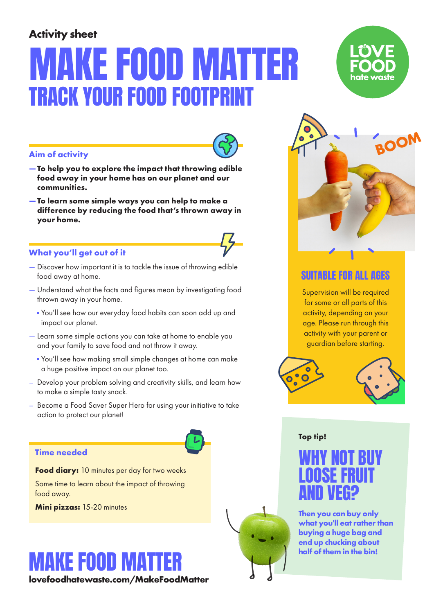### **Activity sheet**

# **KE FOOD MAT** TRACK YOUR FOOD FOOTPRINT





- **Aim of activity**
- **To help you to explore the impact that throwing edible food away in your home has on our planet and our communities.**
- **To learn some simple ways you can help to make a difference by reducing the food that's thrown away in your home.**

#### **What you'll get out of it**

- Discover how important it is to tackle the issue of throwing edible food away at home.
- Understand what the facts and figures mean by investigating food thrown away in your home.
	- You'll see how our everyday food habits can soon add up and impact our planet.
- Learn some simple actions you can take at home to enable you and your family to save food and not throw it away.
	- You'll see how making small simple changes at home can make a huge positive impact on our planet too.
- Develop your problem solving and creativity skills, and learn how to make a simple tasty snack.
- Become a Food Saver Super Hero for using your initiative to take action to protect our planet!

#### **Time needed**

**Food diary:** 10 minutes per day for two weeks

Some time to learn about the impact of throwing food away.

**Mini pizzas:** 15-20 minutes

# MAKE FOOD MATTER

**lovefoodhatewaste.com/MakeFoodMatter** 



#### SUITABLE FOR ALL AGES

Supervision will be required for some or all parts of this activity, depending on your age. Please run through this activity with your parent or guardian before starting.



#### **Top tip!**

WHY NOT BUY LOOSE FRUIT AND VEG?

**Then you can buy only what you'll eat rather than buying a huge bag and end up chucking about half of them in the bin!**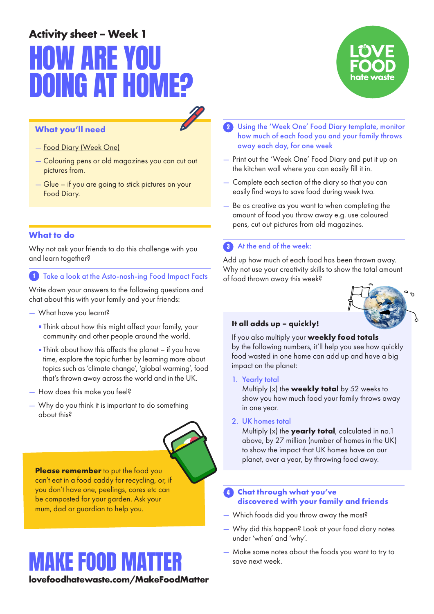# **Activity sheet – Week 1** HOW ARE YOU OING AT H

#### **What you'll need**

- Food Diary (Week One)
- Colouring pens or old magazines you can cut out pictures from.
- Glue if you are going to stick pictures on your Food Diary.

#### **What to do**

Why not ask your friends to do this challenge with you and learn together?

1 Take a look at the Asto-nosh-ing Food Impact Facts

Write down your answers to the following questions and chat about this with your family and your friends:

- What have you learnt?
	- Think about how this might affect your family, your community and other people around the world.
	- Think about how this affects the planet if you have time, explore the topic further by learning more about topics such as 'climate change', 'global warming', food that's thrown away across the world and in the UK.
- How does this make you feel?
- Why do you think it is important to do something about this?

**Please remember** to put the food you can't eat in a food caddy for recycling, or, if you don't have one, peelings, cores etc can be composted for your garden. Ask your mum, dad or guardian to help you.

### MAKE FOOD MATTER

**lovefoodhatewaste.com/MakeFoodMatter** 



- 2 Using the 'Week One' Food Diary template, monitor how much of each food you and your family throws away each day, for one week
- Print out the 'Week One' Food Diary and put it up on the kitchen wall where you can easily fill it in.
- Complete each section of the diary so that you can easily find ways to save food during week two.
- Be as creative as you want to when completing the amount of food you throw away e.g. use coloured pens, cut out pictures from old magazines.

#### **3** At the end of the week:

Add up how much of each food has been thrown away. Why not use your creativity skills to show the total amount of food thrown away this week?



#### **It all adds up – quickly!**

If you also multiply your **weekly food totals** by the following numbers, it'll help you see how quickly food wasted in one home can add up and have a big impact on the planet:

1. Yearly total

Multiply (x) the **weekly total** by 52 weeks to show you how much food your family throws away in one year.

#### 2. UK homes total

Multiply (x) the **yearly total**, calculated in no.1 above, by 27 million (number of homes in the UK) to show the impact that UK homes have on our planet, over a year, by throwing food away.

#### 4 **Chat through what you've discovered with your family and friends**

- Which foods did you throw away the most?
- Why did this happen? Look at your food diary notes under 'when' and 'why'.
- Make some notes about the foods you want to try to save next week.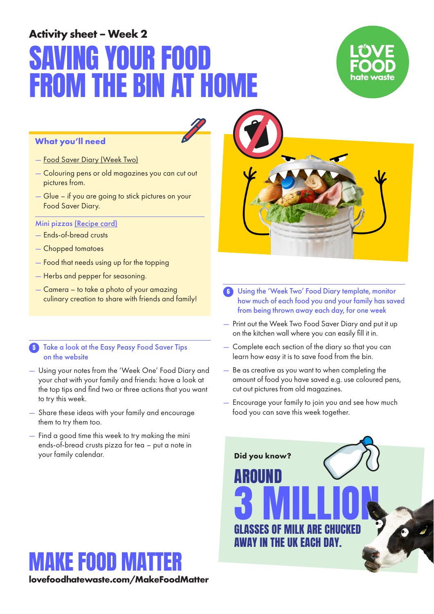## **Activity sheet – Week 2** NIJR FOOI BIN A



#### **What you'll need**

- Food Saver Diary (Week Two)
- Colouring pens or old magazines you can cut out pictures from.
- Glue if you are going to stick pictures on your Food Saver Diary.

#### Mini pizzas (Recipe card)

- Ends-of-bread crusts
- Chopped tomatoes
- Food that needs using up for the topping
- Herbs and pepper for seasoning.
- Camera to take a photo of your amazing culinary creation to share with friends and family!

#### **5** Take a look at the Easy Peasy Food Saver Tips on the website

- Using your notes from the 'Week One' Food Diary and your chat with your family and friends: have a look at the top tips and find two or three actions that you want to try this week.
- Share these ideas with your family and encourage them to try them too.
- Find a good time this week to try making the mini ends-of-bread crusts pizza for tea – put a note in your family calendar.

MAKE FOOD MAT

**lovefoodhatewaste.com/MakeFoodMatter** 



- 6 Using the 'Week Two' Food Diary template, monitor how much of each food you and your family has saved from being thrown away each day, for one week
- Print out the Week Two Food Saver Diary and put it up on the kitchen wall where you can easily fill it in.
- Complete each section of the diary so that you can learn how easy it is to save food from the bin.
- Be as creative as you want to when completing the amount of food you have saved e.g. use coloured pens, cut out pictures from old magazines.
- Encourage your family to join you and see how much food you can save this week together.